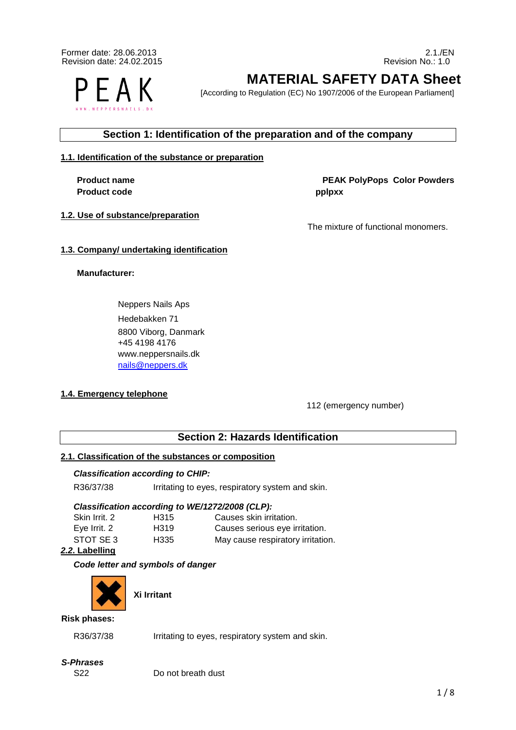Former date: 28.06.2013 2.1./EN<br>Revision date: 24.02.2015 2.1./EN<br>Revision date: 24.02.2015 Revision date: 24.02.2015 Revision No.: 1.0

FAK

**MATERIAL SAFETY DATA Sheet**

[According to Regulation (EC) No 1907/2006 of the European Parliament]

# **Section 1: Identification of the preparation and of the company**

# **1.1. Identification of the substance or preparation**

Product code **pplpxx** 

# **1.2. Use of substance/preparation**

**Product name Color Powders PEAK PolyPops Color Powders** 

The mixture of functional monomers.

# **1.3. Company/ undertaking identification**

# **Manufacturer:**

Neppers Nails Aps Hedebakken 71 8800 Viborg, Danmark +45 4198 4176 www.neppersnails.dk nails@neppers.dk

# **1.4. Emergency telephone**

112 (emergency number)

# **Section 2: Hazards Identification**

# **2.1. Classification of the substances or composition**

# *Classification according to CHIP:*

R36/37/38 Irritating to eyes, respiratory system and skin.

# *Classification according to WE/1272/2008 (CLP):*

| Skin Irrit, 2 | H315 | Causes skin irritation.           |
|---------------|------|-----------------------------------|
| Eve Irrit. 2  | H319 | Causes serious eye irritation.    |
| STOT SE 3     | H335 | May cause respiratory irritation. |

# *2.2***. Labelling**

# *Code letter and symbols of danger*



**Xi Irritant** 

#### **Risk phases:**

R36/37/38 Irritating to eyes, respiratory system and skin.

# *S-Phrases*

S22 Do not breath dust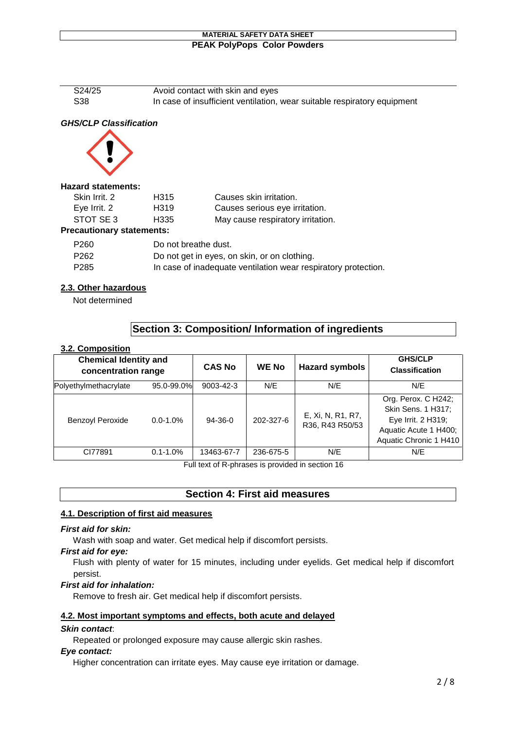S24/25 Avoid contact with skin and eyes S38 **In case of insufficient ventilation, wear suitable respiratory equipment** 

# *GHS/CLP Classification*



#### **Hazard statements:**

| Skin Irrit, 2 | H315 | Causes skin irritation.           |
|---------------|------|-----------------------------------|
| Eye Irrit. 2  | H319 | Causes serious eye irritation.    |
| STOT SE3      | H335 | May cause respiratory irritation. |
|               |      |                                   |

# **Precautionary statements:**

| P <sub>260</sub> | Do not breathe dust.                                           |
|------------------|----------------------------------------------------------------|
| P <sub>262</sub> | Do not get in eyes, on skin, or on clothing.                   |
| P <sub>285</sub> | In case of inadequate ventilation wear respiratory protection. |

# **2.3. Other hazardous**

Not determined

# **Section 3: Composition/ Information of ingredients**

# **3.2. Composition**

| <b>Chemical Identity and</b><br>concentration range |               | <b>CAS No</b> | <b>WE No</b> | <b>Hazard symbols</b>                | <b>GHS/CLP</b><br><b>Classification</b>                                                                            |
|-----------------------------------------------------|---------------|---------------|--------------|--------------------------------------|--------------------------------------------------------------------------------------------------------------------|
| Polyethylmethacrylate                               | 95.0-99.0%    | 9003-42-3     | N/E          | N/E                                  | N/E                                                                                                                |
| <b>Benzoyl Peroxide</b>                             | $0.0 - 1.0\%$ | $94-36-0$     | 202-327-6    | E, Xi, N, R1, R7,<br>R36, R43 R50/53 | Org. Perox. C H242;<br>Skin Sens. 1 H317;<br>Eye Irrit. 2 H319;<br>Aquatic Acute 1 H400;<br>Aquatic Chronic 1 H410 |
| CI77891                                             | $0.1 - 1.0\%$ | 13463-67-7    | 236-675-5    | N/E                                  | N/E                                                                                                                |

Full text of R-phrases is provided in section 16

# **Section 4: First aid measures**

# **4.1. Description of first aid measures**

# *First aid for skin:*

Wash with soap and water. Get medical help if discomfort persists.

#### *First aid for eye:*

Flush with plenty of water for 15 minutes, including under eyelids. Get medical help if discomfort persist.

# *First aid for inhalation:*

Remove to fresh air. Get medical help if discomfort persists.

# **4.2. Most important symptoms and effects, both acute and delayed**

# *Skin contact*:

Repeated or prolonged exposure may cause allergic skin rashes.

# *Eye contact:*

Higher concentration can irritate eyes. May cause eye irritation or damage.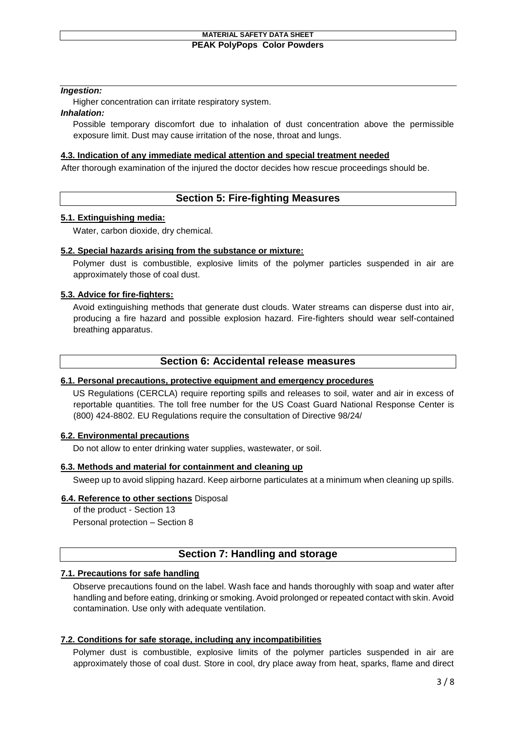## *Ingestion:*

Higher concentration can irritate respiratory system.

## *Inhalation:*

Possible temporary discomfort due to inhalation of dust concentration above the permissible exposure limit. Dust may cause irritation of the nose, throat and lungs.

# **4.3. Indication of any immediate medical attention and special treatment needed**

After thorough examination of the injured the doctor decides how rescue proceedings should be.

# **Section 5: Fire-fighting Measures**

# **5.1. Extinguishing media:**

Water, carbon dioxide, dry chemical.

## **5.2. Special hazards arising from the substance or mixture:**

Polymer dust is combustible, explosive limits of the polymer particles suspended in air are approximately those of coal dust.

# **5.3. Advice for fire-fighters:**

Avoid extinguishing methods that generate dust clouds. Water streams can disperse dust into air, producing a fire hazard and possible explosion hazard. Fire-fighters should wear self-contained breathing apparatus.

# **Section 6: Accidental release measures**

# **6.1. Personal precautions, protective equipment and emergency procedures**

US Regulations (CERCLA) require reporting spills and releases to soil, water and air in excess of reportable quantities. The toll free number for the US Coast Guard National Response Center is (800) 424-8802. EU Regulations require the consultation of Directive 98/24/

# **6.2. Environmental precautions**

Do not allow to enter drinking water supplies, wastewater, or soil.

# **6.3. Methods and material for containment and cleaning up**

Sweep up to avoid slipping hazard. Keep airborne particulates at a minimum when cleaning up spills.

# **6.4. Reference to other sections** Disposal

of the product - Section 13 Personal protection – Section 8

# **Section 7: Handling and storage**

# **7.1. Precautions for safe handling**

Observe precautions found on the label. Wash face and hands thoroughly with soap and water after handling and before eating, drinking or smoking. Avoid prolonged or repeated contact with skin. Avoid contamination. Use only with adequate ventilation.

# **7.2. Conditions for safe storage, including any incompatibilities**

Polymer dust is combustible, explosive limits of the polymer particles suspended in air are approximately those of coal dust. Store in cool, dry place away from heat, sparks, flame and direct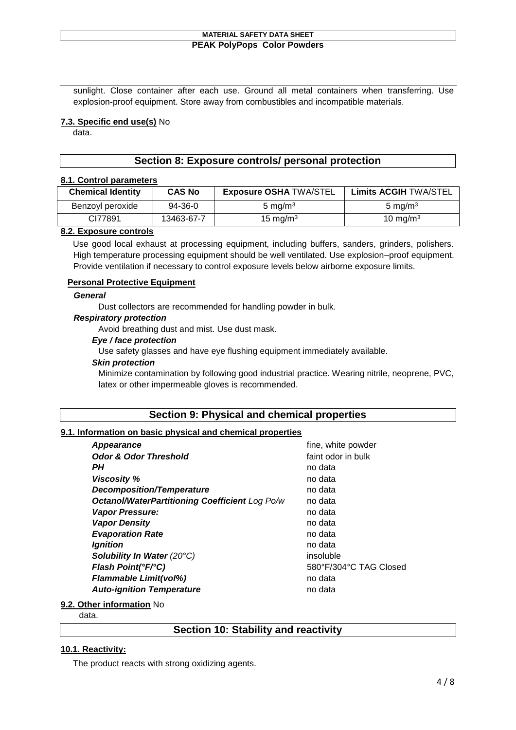sunlight. Close container after each use. Ground all metal containers when transferring. Use explosion-proof equipment. Store away from combustibles and incompatible materials.

## **7.3. Specific end use(s)** No

data.

# **Section 8: Exposure controls/ personal protection**

#### **8.1. Control parameters**

| <b>Chemical Identity</b> | <b>CAS No</b> | <b>Exposure OSHA TWA/STEL</b> | <b>Limits ACGIH TWA/STEL</b> |
|--------------------------|---------------|-------------------------------|------------------------------|
| Benzoyl peroxide         | 94-36-0       | 5 mg/m $3$                    | 5 mg/m $3$                   |
| CI77891                  | 13463-67-7    | 15 mg/m $3$                   | 10 mg/m $3$                  |

#### **8.2. Exposure controls**

Use good local exhaust at processing equipment, including buffers, sanders, grinders, polishers. High temperature processing equipment should be well ventilated. Use explosion–proof equipment. Provide ventilation if necessary to control exposure levels below airborne exposure limits.

#### **Personal Protective Equipment**

#### *General*

Dust collectors are recommended for handling powder in bulk.

#### *Respiratory protection*

Avoid breathing dust and mist. Use dust mask.

# *Eye / face protection*

Use safety glasses and have eye flushing equipment immediately available.

#### *Skin protection*

Minimize contamination by following good industrial practice. Wearing nitrile, neoprene, PVC, latex or other impermeable gloves is recommended.

# **Section 9: Physical and chemical properties**

#### **9.1. Information on basic physical and chemical properties**

| <b>Appearance</b>                              | fine, white powder     |
|------------------------------------------------|------------------------|
| <b>Odor &amp; Odor Threshold</b>               | faint odor in bulk     |
| PН                                             | no data                |
| <b>Viscosity %</b>                             | no data                |
| <b>Decomposition/Temperature</b>               | no data                |
| Octanol/WaterPartitioning Coefficient Log Po/w | no data                |
| <b>Vapor Pressure:</b>                         | no data                |
| <b>Vapor Density</b>                           | no data                |
| <b>Evaporation Rate</b>                        | no data                |
| <b>Ignition</b>                                | no data                |
| <b>Solubility In Water (20°C)</b>              | insoluble              |
| Flash Point(°F/°C)                             | 580°F/304°C TAG Closed |
| <b>Flammable Limit(vol%)</b>                   | no data                |
| <b>Auto-ignition Temperature</b>               | no data                |

# **9.2. Other information** No

data.

# **Section 10: Stability and reactivity**

# **10.1. Reactivity:**

The product reacts with strong oxidizing agents.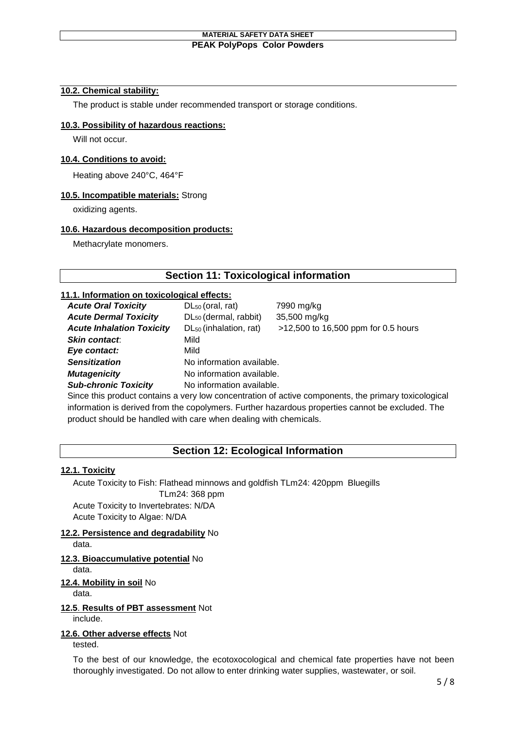# **10.2. Chemical stability:**

The product is stable under recommended transport or storage conditions.

## **10.3. Possibility of hazardous reactions:**

Will not occur.

#### **10.4. Conditions to avoid:**

Heating above 240°C, 464°F

#### **10.5. Incompatible materials:** Strong

oxidizing agents.

#### **10.6. Hazardous decomposition products:**

Methacrylate monomers.

# **Section 11: Toxicological information**

#### **11.1. Information on toxicological effects:**

| <b>Acute Oral Toxicity</b>       | $DL_{50}$ (oral, rat)              | 7990 mg/kg                          |
|----------------------------------|------------------------------------|-------------------------------------|
| <b>Acute Dermal Toxicity</b>     | DL <sub>50</sub> (dermal, rabbit)  | 35,500 mg/kg                        |
| <b>Acute Inhalation Toxicity</b> | DL <sub>50</sub> (inhalation, rat) | >12,500 to 16,500 ppm for 0.5 hours |
| <b>Skin contact.</b>             | Mild                               |                                     |
| Eye contact:                     | Mild                               |                                     |
| <b>Sensitization</b>             | No information available.          |                                     |
| <b>Mutagenicity</b>              | No information available.          |                                     |
| <b>Sub-chronic Toxicity</b>      | No information available.          |                                     |
|                                  |                                    |                                     |

Since this product contains a very low concentration of active components, the primary toxicological information is derived from the copolymers. Further hazardous properties cannot be excluded. The product should be handled with care when dealing with chemicals.

# **Section 12: Ecological Information**

# **12.1. Toxicity**

Acute Toxicity to Fish: Flathead minnows and goldfish TLm24: 420ppm Bluegills

TLm24: 368 ppm Acute Toxicity to Invertebrates: N/DA Acute Toxicity to Algae: N/DA

# **12.2. Persistence and degradability** No

data.

# **12.3. Bioaccumulative potential** No

data.

# **12.4. Mobility in soil** No

data.

# **12.5**. **Results of PBT assessment** Not

include.

# **12.6. Other adverse effects** Not

tested.

To the best of our knowledge, the ecotoxocological and chemical fate properties have not been thoroughly investigated. Do not allow to enter drinking water supplies, wastewater, or soil.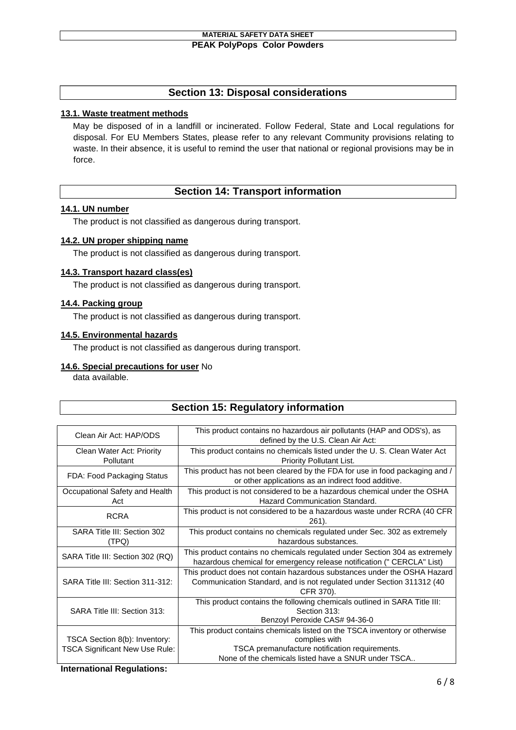# **Section 13: Disposal considerations**

## **13.1. Waste treatment methods**

May be disposed of in a landfill or incinerated. Follow Federal, State and Local regulations for disposal. For EU Members States, please refer to any relevant Community provisions relating to waste. In their absence, it is useful to remind the user that national or regional provisions may be in force.

# **Section 14: Transport information**

#### **14.1. UN number**

The product is not classified as dangerous during transport.

#### **14.2. UN proper shipping name**

The product is not classified as dangerous during transport.

#### **14.3. Transport hazard class(es)**

The product is not classified as dangerous during transport.

#### **14.4. Packing group**

The product is not classified as dangerous during transport.

#### **14.5. Environmental hazards**

The product is not classified as dangerous during transport.

# **14.6. Special precautions for user** No

data available.

# **Section 15: Regulatory information**

| Clean Air Act: HAP/ODS                                                 | This product contains no hazardous air pollutants (HAP and ODS's), as<br>defined by the U.S. Clean Air Act:                                                                                         |
|------------------------------------------------------------------------|-----------------------------------------------------------------------------------------------------------------------------------------------------------------------------------------------------|
| Clean Water Act: Priority<br>Pollutant                                 | This product contains no chemicals listed under the U.S. Clean Water Act<br>Priority Pollutant List.                                                                                                |
| FDA: Food Packaging Status                                             | This product has not been cleared by the FDA for use in food packaging and /<br>or other applications as an indirect food additive.                                                                 |
| Occupational Safety and Health<br>Act                                  | This product is not considered to be a hazardous chemical under the OSHA<br>Hazard Communication Standard.                                                                                          |
| <b>RCRA</b>                                                            | This product is not considered to be a hazardous waste under RCRA (40 CFR)<br>261).                                                                                                                 |
| SARA Title III: Section 302<br>(TPQ)                                   | This product contains no chemicals regulated under Sec. 302 as extremely<br>hazardous substances.                                                                                                   |
| SARA Title III: Section 302 (RQ)                                       | This product contains no chemicals regulated under Section 304 as extremely<br>hazardous chemical for emergency release notification (" CERCLA" List)                                               |
| SARA Title III: Section 311-312:                                       | This product does not contain hazardous substances under the OSHA Hazard<br>Communication Standard, and is not regulated under Section 311312 (40<br>CFR 370).                                      |
| SARA Title III: Section 313:                                           | This product contains the following chemicals outlined in SARA Title III:<br>Section 313:<br>Benzoyl Peroxide CAS# 94-36-0                                                                          |
| TSCA Section 8(b): Inventory:<br><b>TSCA Significant New Use Rule:</b> | This product contains chemicals listed on the TSCA inventory or otherwise<br>complies with<br>TSCA premanufacture notification requirements.<br>None of the chemicals listed have a SNUR under TSCA |

**International Regulations:**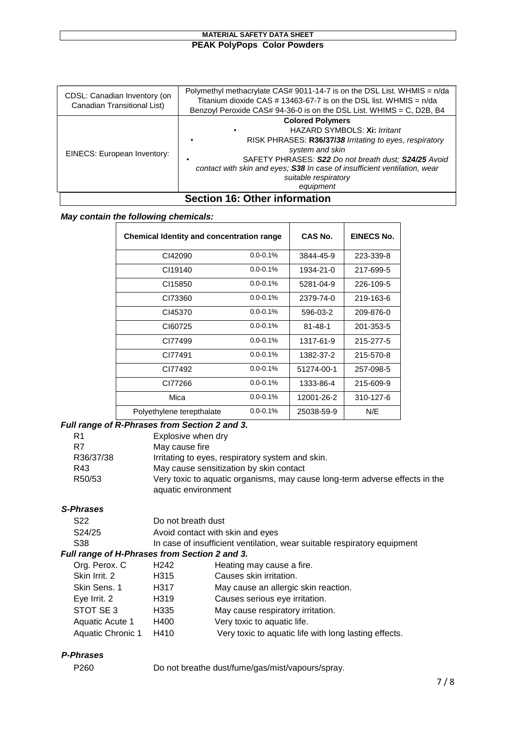| CDSL: Canadian Inventory (on<br>Canadian Transitional List) | Polymethyl methacrylate CAS# 9011-14-7 is on the DSL List. WHMIS = $n$ /da<br>Titanium dioxide CAS # 13463-67-7 is on the DSL list. WHMIS $= \frac{n}{da}$<br>Benzoyl Peroxide CAS# 94-36-0 is on the DSL List. WHIMS = C, D2B, B4                                                                              |  |
|-------------------------------------------------------------|-----------------------------------------------------------------------------------------------------------------------------------------------------------------------------------------------------------------------------------------------------------------------------------------------------------------|--|
| EINECS: European Inventory:                                 | <b>Colored Polymers</b><br>HAZARD SYMBOLS: Xi: Irritant<br>RISK PHRASES: R36/37/38 Irritating to eyes, respiratory<br>system and skin<br>SAFETY PHRASES: S22 Do not breath dust; S24/25 Avoid<br>contact with skin and eyes; S38 In case of insufficient ventilation, wear<br>suitable respiratory<br>equipment |  |
| Section 16: Other information                               |                                                                                                                                                                                                                                                                                                                 |  |

## *May contain the following chemicals:*

| <b>Chemical Identity and concentration range</b> |               | CAS No.       | EINECS No. |
|--------------------------------------------------|---------------|---------------|------------|
| CI42090                                          | $0.0 - 0.1%$  | 3844-45-9     | 223-339-8  |
| CI19140                                          | $0.0 - 0.1\%$ | 1934-21-0     | 217-699-5  |
| CI15850                                          | $0.0 - 0.1\%$ | 5281-04-9     | 226-109-5  |
| CI73360                                          | $0.0 - 0.1\%$ | 2379-74-0     | 219-163-6  |
| CI45370                                          | $0.0 - 0.1%$  | 596-03-2      | 209-876-0  |
| CI60725                                          | $0.0 - 0.1%$  | $81 - 48 - 1$ | 201-353-5  |
| CI77499                                          | $0.0 - 0.1%$  | 1317-61-9     | 215-277-5  |
| CI77491                                          | $0.0 - 0.1%$  | 1382-37-2     | 215-570-8  |
| CI77492                                          | $0.0 - 0.1%$  | 51274-00-1    | 257-098-5  |
| CI77266                                          | $0.0 - 0.1\%$ | 1333-86-4     | 215-609-9  |
| Mica                                             | $0.0 - 0.1\%$ | 12001-26-2    | 310-127-6  |
| Polyethylene terepthalate                        | $0.0 - 0.1\%$ | 25038-59-9    | N/E        |

# *Full range of R-Phrases from Section 2 and 3.*

| R1        | Explosive when dry                                                          |
|-----------|-----------------------------------------------------------------------------|
| R7        | May cause fire                                                              |
| R36/37/38 | Irritating to eyes, respiratory system and skin.                            |
| R43       | May cause sensitization by skin contact                                     |
| R50/53    | Very toxic to aquatic organisms, may cause long-term adverse effects in the |
|           | aquatic environment                                                         |

# *S-Phrases*

| S <sub>22</sub> | Do not breath dust                                                       |
|-----------------|--------------------------------------------------------------------------|
| S24/25          | Avoid contact with skin and eyes                                         |
| S38             | In case of insufficient ventilation, wear suitable respiratory equipment |

# *Full range of H-Phrases from Section 2 and 3.*

| Org. Perox. C     | H <sub>242</sub> | Heating may cause a fire.                             |
|-------------------|------------------|-------------------------------------------------------|
| Skin Irrit. 2     | H315             | Causes skin irritation.                               |
| Skin Sens. 1      | H317             | May cause an allergic skin reaction.                  |
| Eye Irrit. 2      | H319             | Causes serious eye irritation.                        |
| STOT SE 3         | H335             | May cause respiratory irritation.                     |
| Aquatic Acute 1   | H400             | Very toxic to aquatic life.                           |
| Aquatic Chronic 1 | H410             | Very toxic to aquatic life with long lasting effects. |

# *P-Phrases*

P260 Do not breathe dust/fume/gas/mist/vapours/spray.